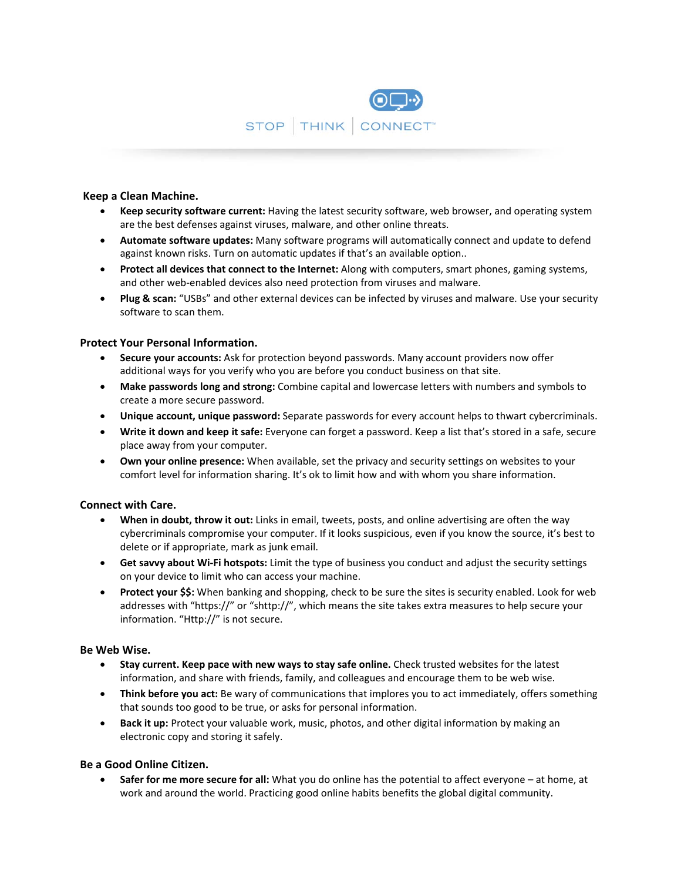

## **Keep a Clean Machine.**

- **Keep security software current:** Having the latest security software, web browser, and operating system are the best defenses against viruses, malware, and other online threats.
- **Automate software updates:** Many software programs will automatically connect and update to defend against known risks. Turn on automatic updates if that's an available option..
- **Protect all devices that connect to the Internet:** Along with computers, smart phones, gaming systems, and other web‐enabled devices also need protection from viruses and malware.
- **Plug & scan:** "USBs" and other external devices can be infected by viruses and malware. Use your security software to scan them.

## **Protect Your Personal Information.**

- **Secure your accounts:** Ask for protection beyond passwords. Many account providers now offer additional ways for you verify who you are before you conduct business on that site.
- **Make passwords long and strong:** Combine capital and lowercase letters with numbers and symbols to create a more secure password.
- **Unique account, unique password:** Separate passwords for every account helps to thwart cybercriminals.
- **Write it down and keep it safe:** Everyone can forget a password. Keep a list that's stored in a safe, secure place away from your computer.
- **Own your online presence:** When available, set the privacy and security settings on websites to your comfort level for information sharing. It's ok to limit how and with whom you share information.

# **Connect with Care.**

- **When in doubt, throw it out:** Links in email, tweets, posts, and online advertising are often the way cybercriminals compromise your computer. If it looks suspicious, even if you know the source, it's best to delete or if appropriate, mark as junk email.
- **Get savvy about Wi‐Fi hotspots:** Limit the type of business you conduct and adjust the security settings on your device to limit who can access your machine.
- **Protect your \$\$:** When banking and shopping, check to be sure the sites is security enabled. Look for web addresses with "https://" or "shttp://", which means the site takes extra measures to help secure your information. "Http://" is not secure.

### **Be Web Wise.**

- **Stay current. Keep pace with new ways to stay safe online.** Check trusted websites for the latest information, and share with friends, family, and colleagues and encourage them to be web wise.
- **Think before you act:** Be wary of communications that implores you to act immediately, offers something that sounds too good to be true, or asks for personal information.
- **Back it up:** Protect your valuable work, music, photos, and other digital information by making an electronic copy and storing it safely.

# **Be a Good Online Citizen.**

 **Safer for me more secure for all:** What you do online has the potential to affect everyone – at home, at work and around the world. Practicing good online habits benefits the global digital community.